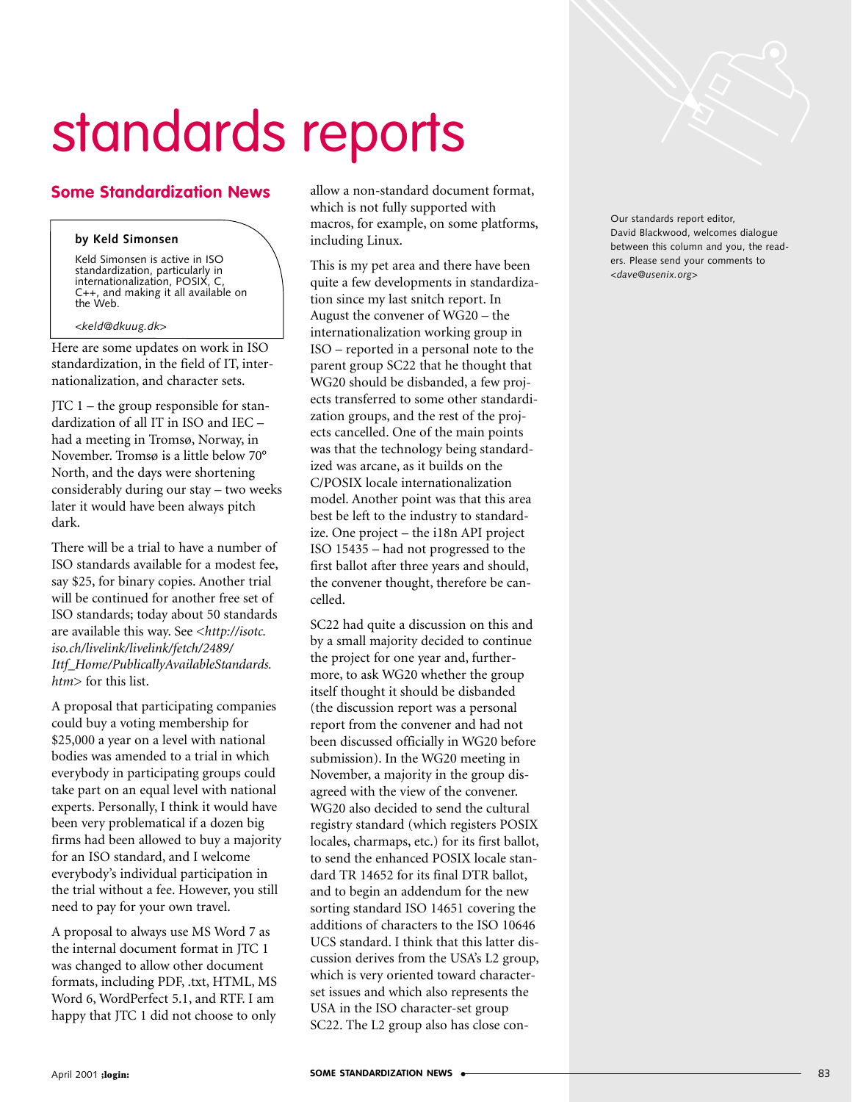## standards reports

## **Some Standardization News**

## **by Keld Simonsen**

Keld Simonsen is active in ISO standardization, particularly in internationalization, POSIX, C, C++, and making it all available on the Web.

## *<keld@dkuug.dk>*

Here are some updates on work in ISO standardization, in the field of IT, internationalization, and character sets.

JTC 1 – the group responsible for standardization of all IT in ISO and IEC – had a meeting in Tromsø, Norway, in November. Tromsø is a little below 70° North, and the days were shortening considerably during our stay – two weeks later it would have been always pitch dark.

There will be a trial to have a number of ISO standards available for a modest fee, say \$25, for binary copies. Another trial will be continued for another free set of ISO standards; today about 50 standards are available this way. See <*http://isotc. iso.ch/livelink/livelink/fetch/2489/ Ittf\_Home/PublicallyAvailableStandards. htm*> for this list.

A proposal that participating companies could buy a voting membership for \$25,000 a year on a level with national bodies was amended to a trial in which everybody in participating groups could take part on an equal level with national experts. Personally, I think it would have been very problematical if a dozen big firms had been allowed to buy a majority for an ISO standard, and I welcome everybody's individual participation in the trial without a fee. However, you still need to pay for your own travel.

A proposal to always use MS Word 7 as the internal document format in JTC 1 was changed to allow other document formats, including PDF, .txt, HTML, MS Word 6, WordPerfect 5.1, and RTF. I am happy that JTC 1 did not choose to only allow a non-standard document format, which is not fully supported with macros, for example, on some platforms, including Linux.

This is my pet area and there have been quite a few developments in standardization since my last snitch report. In August the convener of WG20 – the internationalization working group in ISO – reported in a personal note to the parent group SC22 that he thought that WG20 should be disbanded, a few projects transferred to some other standardization groups, and the rest of the projects cancelled. One of the main points was that the technology being standardized was arcane, as it builds on the C/POSIX locale internationalization model. Another point was that this area best be left to the industry to standardize. One project – the i18n API project ISO 15435 – had not progressed to the first ballot after three years and should, the convener thought, therefore be cancelled.

SC22 had quite a discussion on this and by a small majority decided to continue the project for one year and, furthermore, to ask WG20 whether the group itself thought it should be disbanded (the discussion report was a personal report from the convener and had not been discussed officially in WG20 before submission). In the WG20 meeting in November, a majority in the group disagreed with the view of the convener. WG20 also decided to send the cultural registry standard (which registers POSIX locales, charmaps, etc.) for its first ballot, to send the enhanced POSIX locale standard TR 14652 for its final DTR ballot, and to begin an addendum for the new sorting standard ISO 14651 covering the additions of characters to the ISO 10646 UCS standard. I think that this latter discussion derives from the USA's L2 group, which is very oriented toward characterset issues and which also represents the USA in the ISO character-set group SC22. The L2 group also has close con-

Our standards report editor, David Blackwood, welcomes dialogue between this column and you, the readers. Please send your comments to *<dave@usenix.org>*